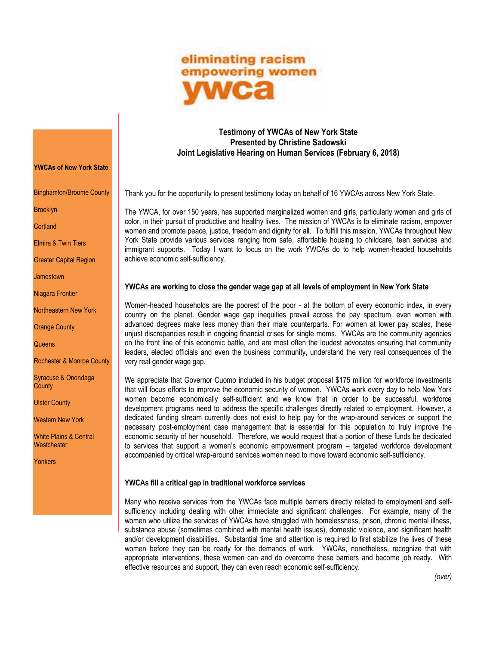

## **Testimony of YWCAs of New York State Presented by Christine Sadowski Joint Legislative Hearing on Human Services (February 6, 2018)**

Thank you for the opportunity to present testimony today on behalf of 16 YWCAs across New York State.

The YWCA, for over 150 years, has supported marginalized women and girls, particularly women and girls of color, in their pursuit of productive and healthy lives. The mission of YWCAs is to eliminate racism, empower women and promote peace, justice, freedom and dignity for all. To fulfill this mission, YWCAs throughout New York State provide various services ranging from safe, affordable housing to childcare, teen services and immigrant supports. Today I want to focus on the work YWCAs do to help women-headed households achieve economic self-sufficiency.

## **YWCAs are working to close the gender wage gap at all levels of employment in New York State**

Women-headed households are the poorest of the poor - at the bottom of every economic index, in every country on the planet. Gender wage gap inequities prevail across the pay spectrum, even women with advanced degrees make less money than their male counterparts. For women at lower pay scales, these unjust discrepancies result in ongoing financial crises for single moms. YWCAs are the community agencies on the front line of this economic battle, and are most often the loudest advocates ensuring that community leaders, elected officials and even the business community, understand the very real consequences of the very real gender wage gap.

We appreciate that Governor Cuomo included in his budget proposal \$175 million for workforce investments that will focus efforts to improve the economic security of women. YWCAs work every day to help New York women become economically self-sufficient and we know that in order to be successful, workforce development programs need to address the specific challenges directly related to employment. However, a dedicated funding stream currently does not exist to help pay for the wrap-around services or support the necessary post-employment case management that is essential for this population to truly improve the economic security of her household. Therefore, we would request that a portion of these funds be dedicated to services that support a women's economic empowerment program – targeted workforce development accompanied by critical wrap-around services women need to move toward economic self-sufficiency.

## **YWCAs fill a critical gap in traditional workforce services**

Many who receive services from the YWCAs face multiple barriers directly related to employment and selfsufficiency including dealing with other immediate and significant challenges. For example, many of the women who utilize the services of YWCAs have struggled with homelessness, prison, chronic mental illness, substance abuse (sometimes combined with mental health issues), domestic violence, and significant health and/or development disabilities. Substantial time and attention is required to first stabilize the lives of these women before they can be ready for the demands of work. YWCAs, nonetheless, recognize that with appropriate interventions, these women can and do overcome these barriers and become job ready. With effective resources and support, they can even reach economic self-sufficiency.

## **YWCAs of New York State**

Binghamton/Broome County

Brooklyn

**Cortland** 

Elmira & Twin Tiers

Greater Capital Region

Jamestown

Niagara Frontier

Northeastern New York

Orange County

**Queens** 

Rochester & Monroe County

Syracuse & Onondaga **County** 

Ulster County

Western New York

White Plains & Central **Westchester** 

Yonkers